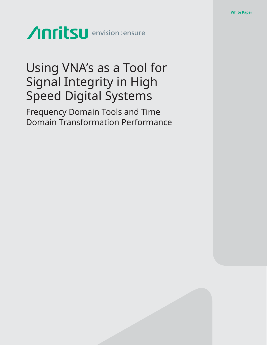# Anritsu envision: ensure

# Using VNA's as a Tool for Signal Integrity in High Speed Digital Systems

Frequency Domain Tools and Time Domain Transformation Performance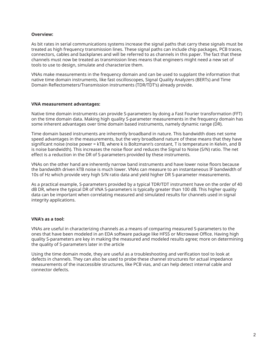#### **Overview:**

As bit rates in serial communications systems increase the signal paths that carry these signals must be treated as high frequency transmission lines. These signal paths can include chip packages, PCB traces, connectors, cables and backplanes and will be referred to as channels in this paper. The fact that these channels must now be treated as transmission lines means that engineers might need a new set of tools to use to design, simulate and characterize them.

VNAs make measurements in the frequency domain and can be used to supplant the information that native time domain instruments, like fast oscilloscopes, Signal Quality Analyzers (BERTs) and Time Domain Reflectometers/Transmission instruments (TDR/TDT's) already provide.

#### **VNA measurement advantages:**

Native time domain instruments can provide S-parameters by doing a Fast Fourier transformation (FFT) on the time domain data. Making high quality S-parameter measurements in the frequency domain has some inherent advantages over time domain based instruments, namely dynamic range (DR).

Time domain based instruments are inherently broadband in nature. This bandwidth does net some speed advantages in the measurements, but the very broadband nature of these means that they have significant noise (noise power = kTB, where k is Boltzmann's constant, T is temperature in Kelvin, and B is noise bandwidth). This increases the noise floor and reduces the Signal to Noise (S/N) ratio. The net effect is a reduction in the DR of S-parameters provided by these instruments.

VNAs on the other hand are inherently narrow band instruments and have lower noise floors because the bandwidth driven kTB noise is much lower. VNAs can measure to an instantaneous IF bandwidth of 10s of Hz which provide very high S/N ratio data and yield higher DR S-parameter measurements.

As a practical example, S-parameters provided by a typical TDR/TDT instrument have on the order of 40 dB DR, where the typical DR of VNA S-parameters is typically greater than 100 dB. This higher quality data can be important when correlating measured and simulated results for channels used in signal integrity applications.

## **VNA's as a tool:**

VNAs are useful in characterizing channels as a means of comparing measured S-parameters to the ones that have been modeled in an EDA software package like HFSS or Microwave Office. Having high quality S-parameters are key in making the measured and modeled results agree; more on determining the quality of S-parameters later in the article

Using the time domain mode, they are useful as a troubleshooting and verification tool to look at defects in channels. They can also be used to probe these channel structures for actual impedance measurements of the inaccessible structures, like PCB vias, and can help detect internal cable and connector defects.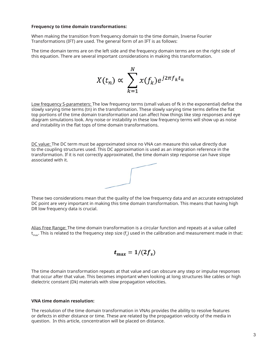#### **Frequency to time domain transformations:**

When making the transition from frequency domain to the time domain, Inverse Fourier Transformations (IFT) are used. The general form of an IFT is as follows:

The time domain terms are on the left side and the frequency domain terms are on the right side of this equation. There are several important considerations in making this transformation.

$$
X(t_n) \propto \sum_{k=1}^N x(f_k) e^{j2\pi f_k t_n}
$$

Low frequency S-parameters: The low frequency terms (small values of fk in the exponential) define the slowly varying time terms (tn) in the transformation. These slowly varying time terms define the flat top portions of the time domain transformation and can affect how things like step responses and eye diagram simulations look. Any noise or instability in these low frequency terms will show up as noise and instability in the flat tops of time domain transformations.

DC value: The DC term must be approximated since no VNA can measure this value directly due to the coupling structures used. This DC approximation is used as an integration reference in the transformation. If it is not correctly approximated, the time domain step response can have slope associated with it.



These two considerations mean that the quality of the low frequency data and an accurate extrapolated DC point are very important in making this time domain transformation. This means that having high DR low frequency data is crucial.

Alias Free Range: The time domain transformation is a circular function and repeats at a value called  ${\sf t}_{\sf max}$ . This is related to the frequency step size (f $_{\sf s}$ ) used in the calibration and measurement made in that:

$$
t_{max}=1/(2f_s)
$$

The time domain transformation repeats at that value and can obscure any step or impulse responses that occur after that value. This becomes important when looking at long structures like cables or high dielectric constant (Dk) materials with slow propagation velocities.

#### **VNA time domain resolution:**

The resolution of the time domain transformation in VNAs provides the ability to resolve features or defects in either distance or time. These are related by the propagation velocity of the media in question. In this article, concentration will be placed on distance.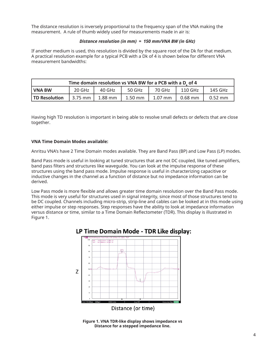The distance resolution is inversely proportional to the frequency span of the VNA making the measurement. A rule of thumb widely used for measurements made in air is:

#### *Distance resolution (in mm) = 150 mm/VNA BW (in GHz)*

If another medium is used, this resolution is divided by the square root of the Dk for that medium. A practical resolution example for a typical PCB with a Dk of 4 is shown below for different VNA measurement bandwidths:

| Time domain resolution vs VNA BW for a PCB with a D <sub>r</sub> of 4 |           |                    |           |           |           |           |  |
|-----------------------------------------------------------------------|-----------|--------------------|-----------|-----------|-----------|-----------|--|
| I VNA BW                                                              | 20 GHz    | 40 GH <sub>7</sub> | 50 GHz    | 70 GHz    | 110 GHz   | 145 GHz   |  |
| <b>TD Resolution</b>                                                  | . 3.75 mm | $1.88$ mm          | $1.50$ mm | $1.07$ mm | $0.68$ mm | $0.52$ mm |  |

Having high TD resolution is important in being able to resolve small defects or defects that are close together.

#### **VNA Time Domain Modes available:**

Anritsu VNA's have 2 Time Domain modes available. They are Band Pass (BP) and Low Pass (LP) modes.

Band Pass mode is useful in looking at tuned structures that are not DC coupled, like tuned amplifiers, band pass filters and structures like waveguide. You can look at the impulse response of these structures using the band pass mode. Impulse response is useful in characterizing capacitive or inductive changes in the channel as a function of distance but no impedance information can be derived.

Low Pass mode is more flexible and allows greater time domain resolution over the Band Pass mode. This mode is very useful for structures used in signal integrity, since most of those structures tend to be DC coupled. Channels including micro-strip, strip-line and cables can be looked at in this mode using either impulse or step responses. Step responses have the ability to look at impedance information versus distance or time, similar to a Time Domain Reflectometer (TDR). This display is illustrated in Figure 1.



**Figure 1. VNA TDR-like display shows impedance vs Distance for a stepped impedance line.**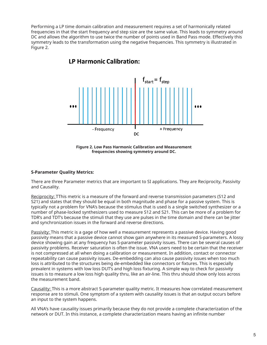Performing a LP time domain calibration and measurement requires a set of harmonically related frequencies in that the start frequency and step size are the same value. This leads to symmetry around DC and allows the algorithm to use twice the number of points used in Band Pass mode. Effectively this symmetry leads to the transformation using the negative frequencies. This symmetry is illustrated in Figure 2.



# **IP Harmonic Calibration:**



#### **S-Parameter Quality Metrics:**

There are three Parameter metrics that are important to SI applications. They are Reciprocity, Passivity and Causality.

Reciprocity: TThis metric is a measure of the forward and reverse transmission parameters (S12 and S21) and states that they should be equal in both magnitude and phase for a passive system. This is typically not a problem for VNA's because the stimulus that is used is a single switched synthesizer or a number of phase-locked synthesizers used to measure S12 and S21. This can be more of a problem for TDR's and TDT's because the stimuli that they use are pulses in the time domain and there can be jitter and synchronization issues in the forward and reverse directions.

Passivity: This metric is a gage of how well a measurement represents a passive device. Having good passivity means that a passive device cannot show gain anywhere in its measured S-parameters. A lossy device showing gain at any frequency has S-parameter passivity issues. There can be several causes of passivity problems. Receiver saturation is often the issue. VNA users need to be certain that the receiver is not compressed at all when doing a calibration or measurement. In addition, contact or connector repeatability can cause passivity issues. De-embedding can also cause passivity issues when too much loss is attributed to the structures being de-embedded like connectors or fixtures. This is especially prevalent in systems with low loss DUT's and high loss fixturing. A simple way to check for passivity issues is to measure a low loss high quality thru, like an air-line. This thru should show only loss across the measurement band.

Causality: This is a more abstract S-parameter quality metric. It measures how correlated measurement response are to stimuli. One symptom of a system with causality issues is that an output occurs before an input to the system happens.

All VNA's have causality issues primarily because they do not provide a complete characterization of the network or DUT. In this instance, a complete characterization means having an infinite number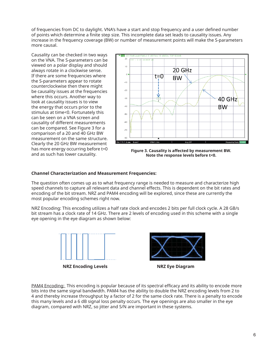of frequencies from DC to daylight. VNA's have a start and stop frequency and a user defined number of points which determine a finite step size. This incomplete data set leads to causality issues. Any increase in the frequency coverage (BW) or number of measurement points will make the S-parameters more causal.

Causality can be checked in two ways on the VNA. The S-parameters can be viewed on a polar display and should always rotate in a clockwise sense. If there are some frequencies where the S-parameters appear to rotate counterclockwise then there might be causality issues at the frequencies where this occurs. Another way to look at causality issues is to view the energy that occurs prior to the stimulus at time<0. Fortunately this can be seen on a VNA screen and causality of different measurements can be compared. See Figure 3 for a comparison of a 20 and 40 GHz BW measurement on the same structure. Clearly the 20 GHz BW measurement has more energy occurring before t=0 and as such has lower causality.



**Figure 3. Causality is affected by measurement BW. Note the response levels before t<0.**

#### **Channel Characterization and Measurement Frequencies:**

The question often comes up as to what frequency range is needed to measure and characterize high speed channels to capture all relevant data and channel effects. This is dependent on the bit rates and encoding of the bit stream. NRZ and PAM4 encoding will be explored, since these are currently the most popular encoding schemes right now.

NRZ Encoding: This encoding utilizes a half rate clock and encodes 2 bits per full clock cycle. A 28 GB/s bit stream has a clock rate of 14 GHz. There are 2 levels of encoding used in this scheme with a single eye opening in the eye diagram as shown below:



**NRZ Encoding Levels** NRZ Eye Diagram



PAM4 Encoding: This encoding is popular because of its spectral efficacy and its ability to encode more bits into the same signal bandwidth. PAM4 has the ability to double the NRZ encoding levels from 2 to 4 and thereby increase throughput by a factor of 2 for the same clock rate. There is a penalty to encode this many levels and a 6 dB signal loss penalty occurs. The eye openings are also smaller in the eye diagram, compared with NRZ, so jitter and S/N are important in these systems.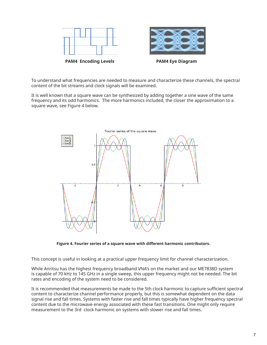

**PAM4 Encoding Levels PAM4 Eye Diagram** 



To understand what frequencies are needed to measure and characterize these channels, the spectral content of the bit streams and clock signals will be examined.

It is well known that a square wave can be synthesized by adding together a sine wave of the same frequency and its odd harmonics. The more harmonics included, the closer the approximation to a square wave, see Figure 4 below.



**Figure 4. Fourier series of a square wave with different harmonic contributors.**

This concept is useful in looking at a practical upper frequency limit for channel characterization.

While Anritsu has the highest frequency broadband VNA's on the market and our ME7838D system is capable of 70 kHz to 145 GHz in a single sweep, this upper frequency might not be needed. The bit rates and encoding of the system need to be considered.

It is recommended that measurements be made to the 5th clock harmonic to capture sufficient spectral content to characterize channel performance properly, but this is somewhat dependent on the data signal rise and fall times. Systems with faster rise and fall times typically have higher frequency spectral content due to the microwave energy associated with these fast transitions. One might only require measurement to the 3rd clock harmonic on systems with slower rise and fall times.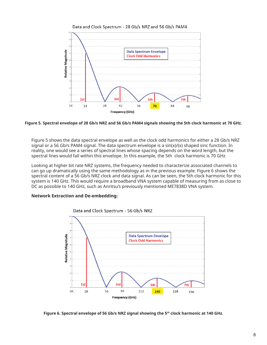



#### **Figure 5. Spectral envelope of 28 Gb/s NRZ and 56 Gb/s PAM4 signals showing the 5th clock harmonic at 70 GHz.**

Figure 5 shows the data spectral envelope as well as the clock odd harmonics for either a 28 Gb/s NRZ signal or a 56 Gb/s PAM4 signal. The data spectrum envelope is a sin(x)/(x) shaped sinc function. In reality, one would see a series of spectral lines whose spacing depends on the word length, but the spectral lines would fall within this envelope. In this example, the 5th clock harmonic is 70 GHz

Looking at higher bit rate NRZ systems, the frequency needed to characterize associated channels to can go up dramatically using the same methodology as in the previous example. Figure 6 shows the spectral content of a 56 Gb/s NRZ clock and data signal. As can be seen, the 5th clock harmonic for this system is 140 GHz. This would require a broadband VNA system capable of measuring from as close to DC as possible to 140 GHz, such as Anritsu's previously mentioned ME7838D VNA system.

#### **Network Extraction and De-embedding:**



Data and Clock Spectrum - 56 Gb/s NRZ

**Figure 6. Spectral envelope of 56 Gb/s NRZ signal showing the 5th clock harmonic at 140 GHz.**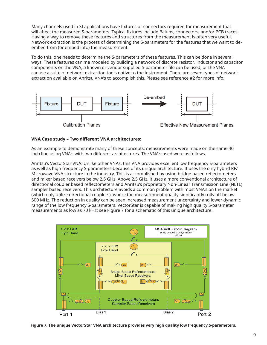Many channels used in SI applications have fixtures or connectors required for measurement that will affect the measured S-parameters. Typical fixtures include Baluns, connectors, and/or PCB traces. Having a way to remove these features and structures from the measurement is often very useful. Network extraction is the process of determining the S-parameters for the features that we want to deembed from (or embed into) the measurement.

To do this, one needs to determine the S-parameters of these features. This can be done in several ways. These features can me modeled by building a network of discrete resistor, inductor and capacitor components on the VNA, a known or vendor supplied S-parameter file can be used, or the VNA canuse a suite of network extraction tools native to the instrument. There are seven types of network extraction available on Anritsu VNA's to accomplish this. Please see reference #2 for more info**.**



#### **VNA Case study – Two different VNA architectures:**

As an example to demonstrate many of these concepts; measurements were made on the same 40 inch line using VNA's with two different architectures. The VNA's used were as follows.

Anritsu's VectorStar VNA: Unlike other VNAs, this VNA provides excellent low frequency S-parameters as well as high frequency S-parameters because of its unique architecture. It uses the only hybrid RF/ Microwave VNA structure in the industry. This is accomplished by using bridge based reflectometers and mixer based receivers below 2.5 GHz. Above 2.5 GHz, it uses a more conventional architecture of directional coupler based reflectometers and Anritsu's proprietary Non-Linear Transmission Line (NLTL) sampler based receivers. This architecture avoids a common problem with most VNA's on the market (which only utilize directional couplers), where the measurement quality significantly rolls-off below 500 MHz. The reduction in quality can be seen increased measurement uncertainty and lower dynamic range of the low frequency S-parameters. VectorStar is capable of making high quality S-parameter measurements as low as 70 kHz; see Figure 7 for a schematic of this unique architecture.



**Figure 7. The unique VectorStar VNA architecture provides very high quality low frequency S-parameters.**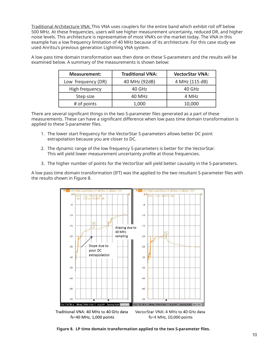Traditional Architecture VNA: This VNA uses couplers for the entire band which exhibit roll off below 500 MHz. At these frequencies, users will see higher measurement uncertainty, reduced DR, and higher noise levels. This architecture is representative of most VNA's on the market today. The VNA in this example has a low frequency limitation of 40 MHz because of its architecture. For this case study we used Anritsu's previous generation Lightning VNA system.

A low pass time domain transformation was then done on these S-parameters and the results will be examined below. A summary of the measurements is shown below:

| <b>Measurement:</b> | <b>Traditional VNA:</b> | <b>VectorStar VNA:</b> |  |
|---------------------|-------------------------|------------------------|--|
| Low frequency (DR)  | 40 MHz (92dB)           | 4 MHz (115 dB)         |  |
| High frequency      | 40 GHz                  | 40 GHz                 |  |
| Step size           | 40 MHz                  | 4 MHz                  |  |
| # of points         | 1,000                   | 10,000                 |  |

There are several significant things in the two S-parameter files generated as a part of these measurements. These can have a significant difference when low pass time domain transformation is applied to these S-parameter files.

- 1. The lower start frequency for the VectorStar S-parameters allows better DC point extrapolation because you are closer to DC.
- 2. The dynamic range of the low frequency S-parameters is better for the VectorStar. This will yield lower measurement uncertainty profile at those frequencies.
- 3. The higher number of points for the VectorStar will yield better causality in the S-parameters.

A low pass time domain transformation (IFT) was the applied to the two resultant S-parameter files with the results shown in Figure 8.



Traditional VNA: 40 MHz to 40 GHz data VectorStar VNA: 4 MHz to 40 GHz data fs=40 MHz, 1,000 points fs=4 MHz, 10,000 points

Figure 8. LP time domain transformation applied to the two S-parameter files.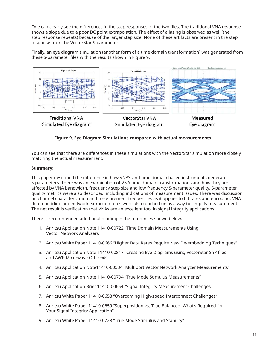One can clearly see the differences in the step responses of the two files. The traditional VNA response shows a slope due to a poor DC point extrapolation. The effect of aliasing is observed as well (the step response repeats) because of the larger step size. None of these artifacts are present in the step response from the VectorStar S-parameters.

Finally, an eye diagram simulation (another form of a time domain transformation) was generated from these S-parameter files with the results shown in Figure 9.



## **Figure 9. Eye Diagram Simulations compared with actual measurements.**

You can see that there are differences in these simulations with the VectorStar simulation more closely matching the actual measurement.

#### **Summary:**

This paper described the difference in how VNA's and time domain based instruments generate S-parameters. There was an examination of VNA time domain transformations and how they are affected by VNA bandwidth, frequency step size and low frequency S-parameter quality. S-parameter quality metrics were also described, including indications of measurement issues. There was discussion on channel characterization and measurement frequencies as it applies to bit rates and encoding. VNA de-embedding and network extraction tools were also touched on as a way to simplify measurements. The net result is verification that VNAs are an excellent tool in signal integrity applications.

There is recommended additional reading in the references shown below.

- 1. Anritsu Application Note 11410-00722 "Time Domain Measurements Using Vector Network Analyzers"
- 2. Anritsu White Paper 11410-0666 "Higher Data Rates Require New De-embedding Techniques"
- 3. Anritsu Application Note 11410-00817 "Creating Eye Diagrams using VectorStar SnP files and AWR Microwave Off ice®"
- 4. Anritsu Application Note11410-00534 "Multiport Vector Network Analyzer Measurements"
- 5. Anritsu Application Note 11410-00794 "True Mode Stimulus Measurements"
- 6. Anritsu Application Brief 11410-00654 "Signal Integrity Measurement Challenges"
- 7. Anritsu White Paper 11410-0658 "Overcoming High-speed Interconnect Challenges"
- 8. Anritsu White Paper 11410-0659 "Superposition vs. True Balanced: What's Required for Your Signal Integrity Application"
- 9. Anritsu White Paper 11410-0728 "True Mode Stimulus and Stability"